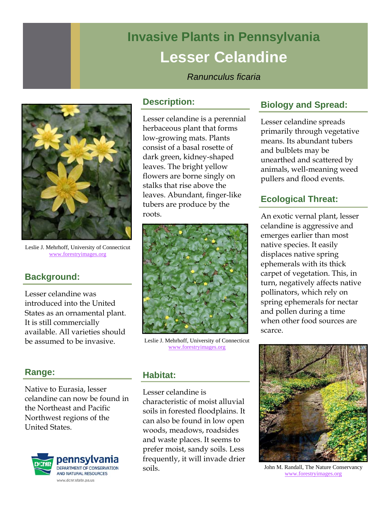# **Invasive Plants in Pennsylvania Lesser Celandine**

## *Ranunculus ficaria*



Leslie J. Mehrhoff, University of Connecticut www.forestryimages.org

# **Background:**

Lesser celandine was introduced into the United States as an ornamental plant. It is still commercially available. All varieties should be assumed to be invasive.

## **Range:**

Native to Eurasia, lesser celandine can now be found in the Northeast and Pacific Northwest regions of the United States.



#### **Description:**

Lesser celandine is a perennial herbaceous plant that forms low-growing mats. Plants consist of a basal rosette of dark green, kidney-shaped leaves. The bright yellow flowers are borne singly on stalks that rise above the leaves. Abundant, finger-like tubers are produce by the roots.



Leslie J. Mehrhoff, University of Connecticut www.forestryimages.org

#### **Habitat:**

Lesser celandine is characteristic of moist alluvial soils in forested floodplains. It can also be found in low open woods, meadows, roadsides and waste places. It seems to prefer moist, sandy soils. Less frequently, it will invade drier soils.

# **Biology and Spread:**

Lesser celandine spreads primarily through vegetative means. Its abundant tubers and bulblets may be unearthed and scattered by animals, well-meaning weed pullers and flood events.

## **Ecological Threat:**

An exotic vernal plant, lesser celandine is aggressive and emerges earlier than most native species. It easily displaces native spring ephemerals with its thick carpet of vegetation. This, in turn, negatively affects native pollinators, which rely on spring ephemerals for nectar and pollen during a time when other food sources are scarce.



John M. Randall, The Nature Conservancy www.forestryimages.org